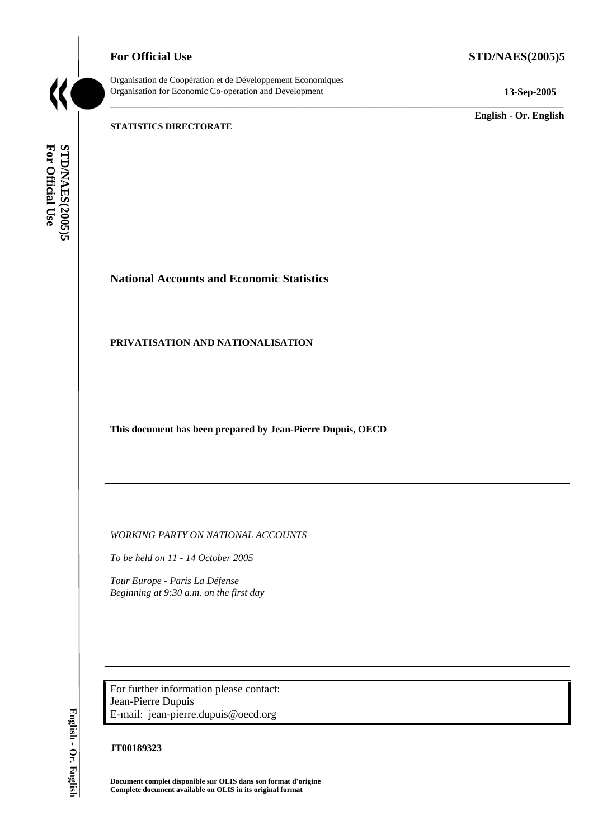**For Official Use STD/NAES(2005)5** 

Organisation de Coopération et de Développement Economiques Organisation for Economic Co-operation and Development **13-Sep-2005** 

\_\_\_\_\_\_\_\_\_\_\_\_\_\_\_\_\_\_\_\_\_\_\_\_\_\_\_\_\_\_\_\_\_\_\_\_\_\_\_\_\_\_\_\_\_\_\_\_\_\_\_\_\_\_\_\_\_\_\_\_\_\_\_\_\_\_\_\_\_\_\_\_\_\_\_\_\_\_\_\_\_\_\_\_\_\_\_\_\_\_\_

\_\_\_\_\_\_\_\_\_\_\_\_\_ **English - Or. English** 

#### **STATISTICS DIRECTORATE**

For Official Use STD/NAES(2005)5 **For Official Use STD/NAES(2005)5 English - Or. English**

# **National Accounts and Economic Statistics**

#### **PRIVATISATION AND NATIONALISATION**

**This document has been prepared by Jean-Pierre Dupuis, OECD** 

*WORKING PARTY ON NATIONAL ACCOUNTS* 

*To be held on 11 - 14 October 2005* 

*Tour Europe - Paris La Défense Beginning at 9:30 a.m. on the first day* 

For further information please contact: Jean-Pierre Dupuis E-mail: jean-pierre.dupuis@oecd.org

#### **JT00189323**

**Document complet disponible sur OLIS dans son format d'origine Complete document available on OLIS in its original format** 

English - Or. English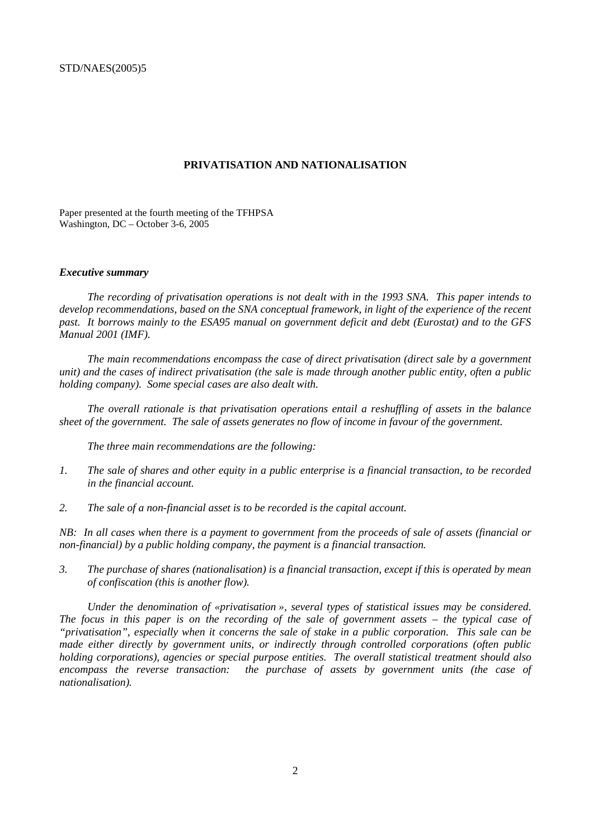#### **PRIVATISATION AND NATIONALISATION**

Paper presented at the fourth meeting of the TFHPSA Washington, DC – October 3-6, 2005

#### *Executive summary*

*The recording of privatisation operations is not dealt with in the 1993 SNA. This paper intends to develop recommendations, based on the SNA conceptual framework, in light of the experience of the recent past. It borrows mainly to the ESA95 manual on government deficit and debt (Eurostat) and to the GFS Manual 2001 (IMF).* 

*The main recommendations encompass the case of direct privatisation (direct sale by a government unit) and the cases of indirect privatisation (the sale is made through another public entity, often a public holding company). Some special cases are also dealt with.* 

*The overall rationale is that privatisation operations entail a reshuffling of assets in the balance sheet of the government. The sale of assets generates no flow of income in favour of the government.* 

*The three main recommendations are the following:* 

- *1. The sale of shares and other equity in a public enterprise is a financial transaction, to be recorded in the financial account.*
- *2. The sale of a non-financial asset is to be recorded is the capital account.*

*NB: In all cases when there is a payment to government from the proceeds of sale of assets (financial or non-financial) by a public holding company, the payment is a financial transaction.* 

*3. The purchase of shares (nationalisation) is a financial transaction, except if this is operated by mean of confiscation (this is another flow).* 

*Under the denomination of «privatisation », several types of statistical issues may be considered. The focus in this paper is on the recording of the sale of government assets – the typical case of "privatisation", especially when it concerns the sale of stake in a public corporation. This sale can be made either directly by government units, or indirectly through controlled corporations (often public holding corporations), agencies or special purpose entities. The overall statistical treatment should also*  encompass the reverse transaction: the purchase of assets by government units (the case of *nationalisation).*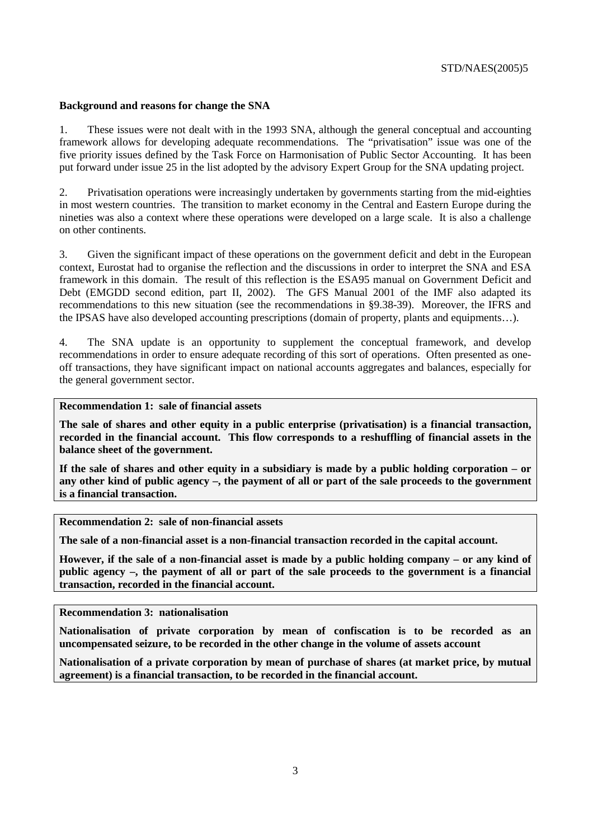#### **Background and reasons for change the SNA**

1. These issues were not dealt with in the 1993 SNA, although the general conceptual and accounting framework allows for developing adequate recommendations. The "privatisation" issue was one of the five priority issues defined by the Task Force on Harmonisation of Public Sector Accounting. It has been put forward under issue 25 in the list adopted by the advisory Expert Group for the SNA updating project.

2. Privatisation operations were increasingly undertaken by governments starting from the mid-eighties in most western countries. The transition to market economy in the Central and Eastern Europe during the nineties was also a context where these operations were developed on a large scale. It is also a challenge on other continents.

3. Given the significant impact of these operations on the government deficit and debt in the European context, Eurostat had to organise the reflection and the discussions in order to interpret the SNA and ESA framework in this domain. The result of this reflection is the ESA95 manual on Government Deficit and Debt (EMGDD second edition, part II, 2002). The GFS Manual 2001 of the IMF also adapted its recommendations to this new situation (see the recommendations in §9.38-39). Moreover, the IFRS and the IPSAS have also developed accounting prescriptions (domain of property, plants and equipments…).

4. The SNA update is an opportunity to supplement the conceptual framework, and develop recommendations in order to ensure adequate recording of this sort of operations. Often presented as oneoff transactions, they have significant impact on national accounts aggregates and balances, especially for the general government sector.

**Recommendation 1: sale of financial assets** 

**The sale of shares and other equity in a public enterprise (privatisation) is a financial transaction, recorded in the financial account. This flow corresponds to a reshuffling of financial assets in the balance sheet of the government.** 

**If the sale of shares and other equity in a subsidiary is made by a public holding corporation – or any other kind of public agency –, the payment of all or part of the sale proceeds to the government is a financial transaction.** 

**Recommendation 2: sale of non-financial assets** 

**The sale of a non-financial asset is a non-financial transaction recorded in the capital account.** 

**However, if the sale of a non-financial asset is made by a public holding company – or any kind of public agency –, the payment of all or part of the sale proceeds to the government is a financial transaction, recorded in the financial account.** 

**Recommendation 3: nationalisation** 

**Nationalisation of private corporation by mean of confiscation is to be recorded as an uncompensated seizure, to be recorded in the other change in the volume of assets account** 

**Nationalisation of a private corporation by mean of purchase of shares (at market price, by mutual agreement) is a financial transaction, to be recorded in the financial account.**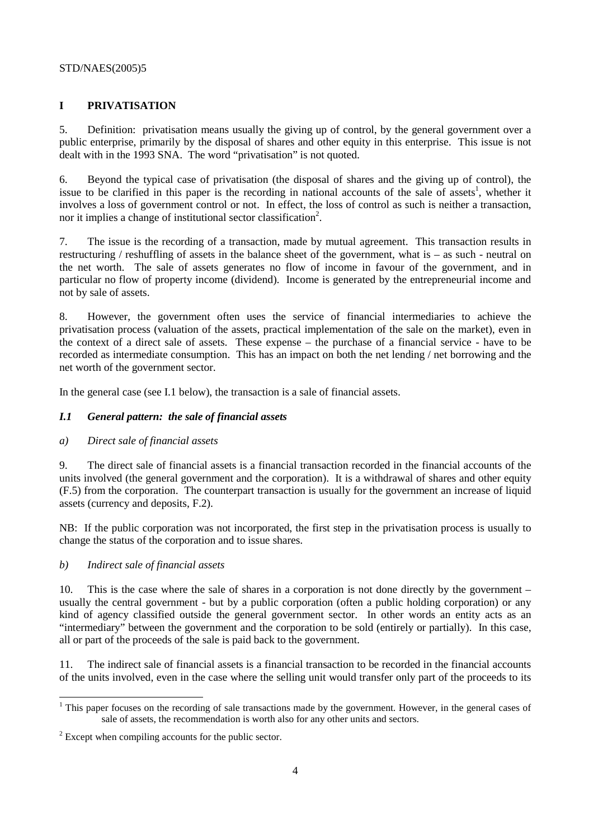#### STD/NAES(2005)5

## **I PRIVATISATION**

5. Definition: privatisation means usually the giving up of control, by the general government over a public enterprise, primarily by the disposal of shares and other equity in this enterprise. This issue is not dealt with in the 1993 SNA. The word "privatisation" is not quoted.

6. Beyond the typical case of privatisation (the disposal of shares and the giving up of control), the issue to be clarified in this paper is the recording in national accounts of the sale of assets<sup>1</sup>, whether it involves a loss of government control or not. In effect, the loss of control as such is neither a transaction, nor it implies a change of institutional sector classification<sup>2</sup>.

7. The issue is the recording of a transaction, made by mutual agreement. This transaction results in restructuring / reshuffling of assets in the balance sheet of the government, what is – as such - neutral on the net worth. The sale of assets generates no flow of income in favour of the government, and in particular no flow of property income (dividend). Income is generated by the entrepreneurial income and not by sale of assets.

8. However, the government often uses the service of financial intermediaries to achieve the privatisation process (valuation of the assets, practical implementation of the sale on the market), even in the context of a direct sale of assets. These expense – the purchase of a financial service - have to be recorded as intermediate consumption. This has an impact on both the net lending / net borrowing and the net worth of the government sector.

In the general case (see I.1 below), the transaction is a sale of financial assets.

## *I.1 General pattern: the sale of financial assets*

#### *a) Direct sale of financial assets*

9. The direct sale of financial assets is a financial transaction recorded in the financial accounts of the units involved (the general government and the corporation). It is a withdrawal of shares and other equity (F.5) from the corporation. The counterpart transaction is usually for the government an increase of liquid assets (currency and deposits, F.2).

NB: If the public corporation was not incorporated, the first step in the privatisation process is usually to change the status of the corporation and to issue shares.

#### *b) Indirect sale of financial assets*

 $\overline{a}$ 

10. This is the case where the sale of shares in a corporation is not done directly by the government – usually the central government - but by a public corporation (often a public holding corporation) or any kind of agency classified outside the general government sector. In other words an entity acts as an "intermediary" between the government and the corporation to be sold (entirely or partially). In this case, all or part of the proceeds of the sale is paid back to the government.

11. The indirect sale of financial assets is a financial transaction to be recorded in the financial accounts of the units involved, even in the case where the selling unit would transfer only part of the proceeds to its

 $1$  This paper focuses on the recording of sale transactions made by the government. However, in the general cases of sale of assets, the recommendation is worth also for any other units and sectors.

 $2^{2}$  Except when compiling accounts for the public sector.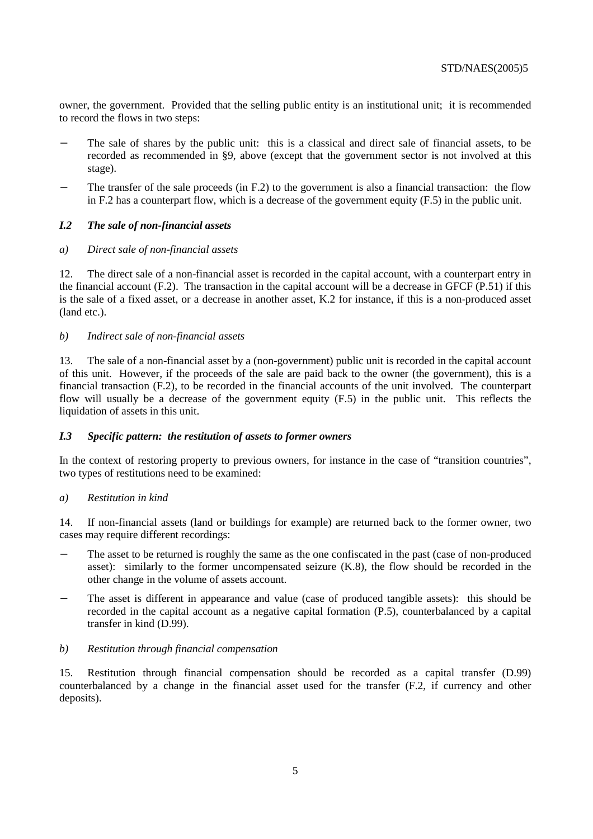owner, the government. Provided that the selling public entity is an institutional unit; it is recommended to record the flows in two steps:

- The sale of shares by the public unit: this is a classical and direct sale of financial assets, to be recorded as recommended in §9, above (except that the government sector is not involved at this stage).
- The transfer of the sale proceeds (in F.2) to the government is also a financial transaction: the flow in F.2 has a counterpart flow, which is a decrease of the government equity (F.5) in the public unit.

## *I.2 The sale of non-financial assets*

#### *a) Direct sale of non-financial assets*

12. The direct sale of a non-financial asset is recorded in the capital account, with a counterpart entry in the financial account (F.2). The transaction in the capital account will be a decrease in GFCF (P.51) if this is the sale of a fixed asset, or a decrease in another asset, K.2 for instance, if this is a non-produced asset (land etc.).

#### *b) Indirect sale of non-financial assets*

13. The sale of a non-financial asset by a (non-government) public unit is recorded in the capital account of this unit. However, if the proceeds of the sale are paid back to the owner (the government), this is a financial transaction (F.2), to be recorded in the financial accounts of the unit involved. The counterpart flow will usually be a decrease of the government equity (F.5) in the public unit. This reflects the liquidation of assets in this unit.

#### *I.3 Specific pattern: the restitution of assets to former owners*

In the context of restoring property to previous owners, for instance in the case of "transition countries", two types of restitutions need to be examined:

#### *a) Restitution in kind*

14. If non-financial assets (land or buildings for example) are returned back to the former owner, two cases may require different recordings:

- The asset to be returned is roughly the same as the one confiscated in the past (case of non-produced asset): similarly to the former uncompensated seizure (K.8), the flow should be recorded in the other change in the volume of assets account.
- The asset is different in appearance and value (case of produced tangible assets): this should be recorded in the capital account as a negative capital formation (P.5), counterbalanced by a capital transfer in kind (D.99).

#### *b) Restitution through financial compensation*

15. Restitution through financial compensation should be recorded as a capital transfer (D.99) counterbalanced by a change in the financial asset used for the transfer (F.2, if currency and other deposits).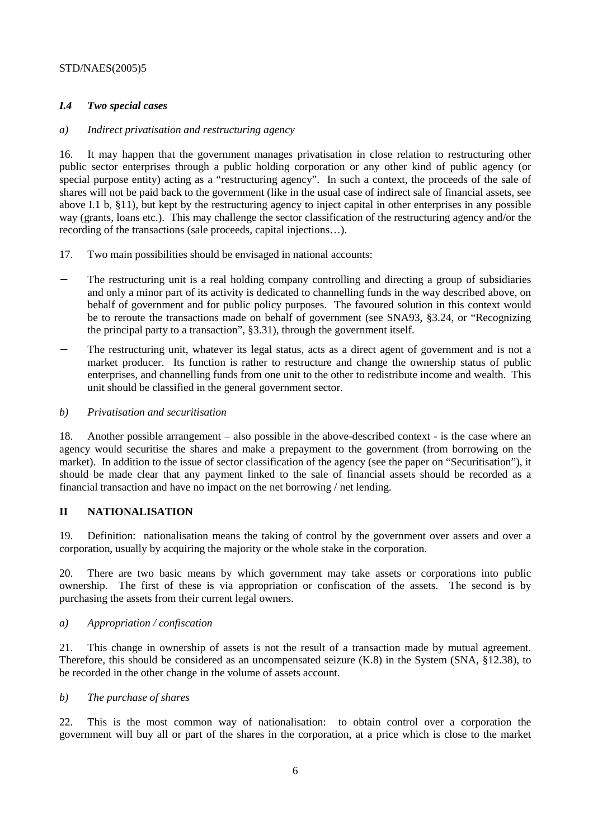#### STD/NAES(2005)5

## *I.4 Two special cases*

#### *a) Indirect privatisation and restructuring agency*

16. It may happen that the government manages privatisation in close relation to restructuring other public sector enterprises through a public holding corporation or any other kind of public agency (or special purpose entity) acting as a "restructuring agency". In such a context, the proceeds of the sale of shares will not be paid back to the government (like in the usual case of indirect sale of financial assets, see above I.1 b, §11), but kept by the restructuring agency to inject capital in other enterprises in any possible way (grants, loans etc.). This may challenge the sector classification of the restructuring agency and/or the recording of the transactions (sale proceeds, capital injections…).

- 17. Two main possibilities should be envisaged in national accounts:
- The restructuring unit is a real holding company controlling and directing a group of subsidiaries and only a minor part of its activity is dedicated to channelling funds in the way described above, on behalf of government and for public policy purposes. The favoured solution in this context would be to reroute the transactions made on behalf of government (see SNA93, §3.24, or "Recognizing the principal party to a transaction", §3.31), through the government itself.
- The restructuring unit, whatever its legal status, acts as a direct agent of government and is not a market producer. Its function is rather to restructure and change the ownership status of public enterprises, and channelling funds from one unit to the other to redistribute income and wealth. This unit should be classified in the general government sector.
- *b) Privatisation and securitisation*

18. Another possible arrangement – also possible in the above-described context - is the case where an agency would securitise the shares and make a prepayment to the government (from borrowing on the market). In addition to the issue of sector classification of the agency (see the paper on "Securitisation"), it should be made clear that any payment linked to the sale of financial assets should be recorded as a financial transaction and have no impact on the net borrowing / net lending.

#### **II NATIONALISATION**

19. Definition: nationalisation means the taking of control by the government over assets and over a corporation, usually by acquiring the majority or the whole stake in the corporation.

20. There are two basic means by which government may take assets or corporations into public ownership. The first of these is via appropriation or confiscation of the assets. The second is by purchasing the assets from their current legal owners.

#### *a) Appropriation / confiscation*

21. This change in ownership of assets is not the result of a transaction made by mutual agreement. Therefore, this should be considered as an uncompensated seizure (K.8) in the System (SNA, §12.38), to be recorded in the other change in the volume of assets account.

#### *b) The purchase of shares*

22. This is the most common way of nationalisation: to obtain control over a corporation the government will buy all or part of the shares in the corporation, at a price which is close to the market